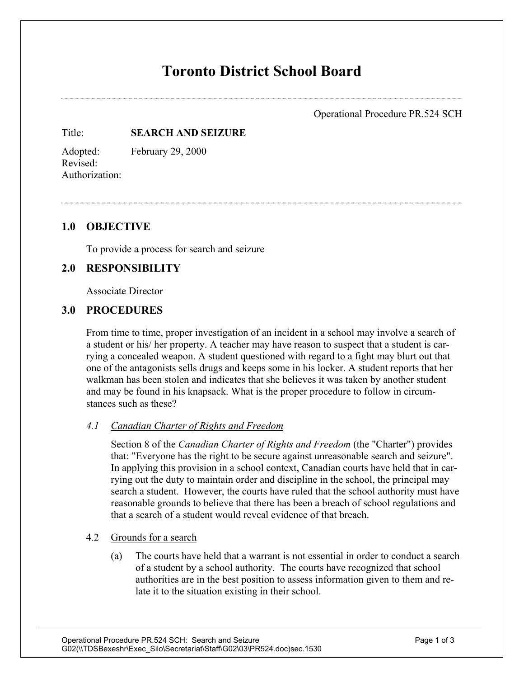# **Toronto District School Board**

Operational Procedure PR.524 SCH

Title: **SEARCH AND SEIZURE**

Adopted: February 29, 2000 Revised: Authorization:

## **1.0 OBJECTIVE**

To provide a process for search and seizure

## **2.0 RESPONSIBILITY**

Associate Director

### **3.0 PROCEDURES**

From time to time, proper investigation of an incident in a school may involve a search of a student or his/ her property. A teacher may have reason to suspect that a student is carrying a concealed weapon. A student questioned with regard to a fight may blurt out that one of the antagonists sells drugs and keeps some in his locker. A student reports that her walkman has been stolen and indicates that she believes it was taken by another student and may be found in his knapsack. What is the proper procedure to follow in circumstances such as these?

#### *4.1 Canadian Charter of Rights and Freedom*

Section 8 of the *Canadian Charter of Rights and Freedom* (the "Charter") provides that: "Everyone has the right to be secure against unreasonable search and seizure". In applying this provision in a school context, Canadian courts have held that in carrying out the duty to maintain order and discipline in the school, the principal may search a student. However, the courts have ruled that the school authority must have reasonable grounds to believe that there has been a breach of school regulations and that a search of a student would reveal evidence of that breach.

#### 4.2 Grounds for a search

(a) The courts have held that a warrant is not essential in order to conduct a search of a student by a school authority. The courts have recognized that school authorities are in the best position to assess information given to them and relate it to the situation existing in their school.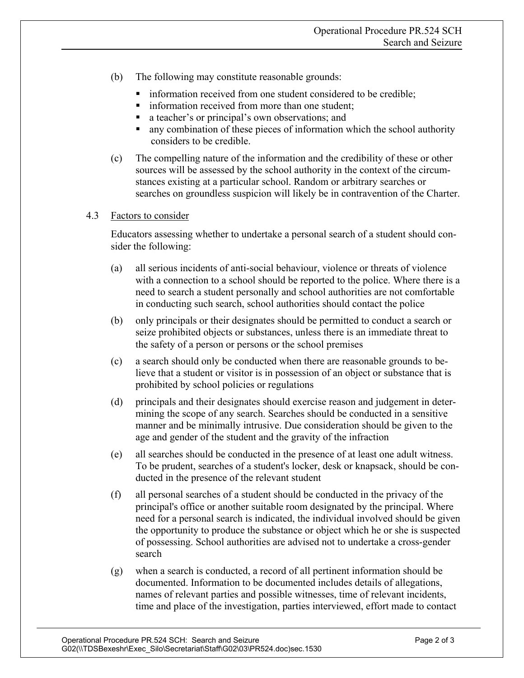- (b) The following may constitute reasonable grounds:
	- information received from one student considered to be credible;
	- **information received from more than one student;**
	- a teacher's or principal's own observations; and
	- any combination of these pieces of information which the school authority considers to be credible.
- (c) The compelling nature of the information and the credibility of these or other sources will be assessed by the school authority in the context of the circumstances existing at a particular school. Random or arbitrary searches or searches on groundless suspicion will likely be in contravention of the Charter.

#### 4.3 Factors to consider

Educators assessing whether to undertake a personal search of a student should consider the following:

- (a) all serious incidents of anti-social behaviour, violence or threats of violence with a connection to a school should be reported to the police. Where there is a need to search a student personally and school authorities are not comfortable in conducting such search, school authorities should contact the police
- (b) only principals or their designates should be permitted to conduct a search or seize prohibited objects or substances, unless there is an immediate threat to the safety of a person or persons or the school premises
- (c) a search should only be conducted when there are reasonable grounds to believe that a student or visitor is in possession of an object or substance that is prohibited by school policies or regulations
- (d) principals and their designates should exercise reason and judgement in determining the scope of any search. Searches should be conducted in a sensitive manner and be minimally intrusive. Due consideration should be given to the age and gender of the student and the gravity of the infraction
- (e) all searches should be conducted in the presence of at least one adult witness. To be prudent, searches of a student's locker, desk or knapsack, should be conducted in the presence of the relevant student
- (f) all personal searches of a student should be conducted in the privacy of the principal's office or another suitable room designated by the principal. Where need for a personal search is indicated, the individual involved should be given the opportunity to produce the substance or object which he or she is suspected of possessing. School authorities are advised not to undertake a cross-gender search
- (g) when a search is conducted, a record of all pertinent information should be documented. Information to be documented includes details of allegations, names of relevant parties and possible witnesses, time of relevant incidents, time and place of the investigation, parties interviewed, effort made to contact